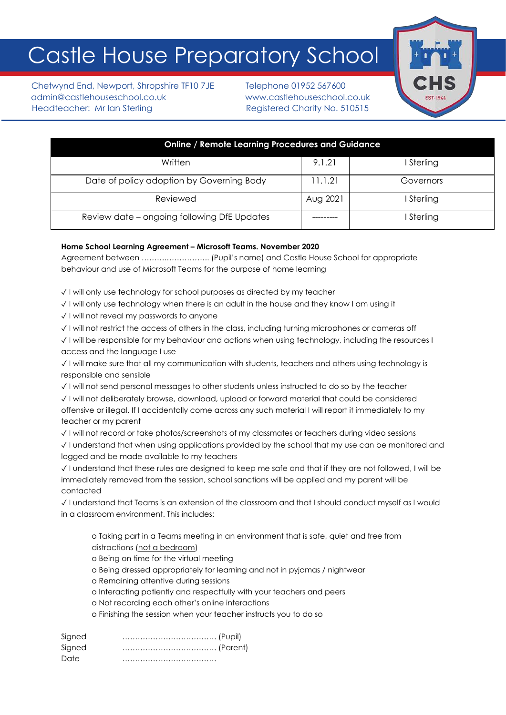# Castle House Preparatory School

Chetwynd End, Newport, Shropshire TF10 7JE Telephone 01952 567600 admin@castlehouseschool.co.uk www.castlehouseschool.co.uk Headteacher: Mr Ian Sterling Theory Registered Charity No. 510515



| <b>Online / Remote Learning Procedures and Guidance</b> |          |            |  |  |  |  |  |  |  |  |
|---------------------------------------------------------|----------|------------|--|--|--|--|--|--|--|--|
| Written                                                 | 9.1.21   | I Sterling |  |  |  |  |  |  |  |  |
| Date of policy adoption by Governing Body               | 11.1.21  | Governors  |  |  |  |  |  |  |  |  |
| Reviewed                                                | Aug 2021 | I Sterling |  |  |  |  |  |  |  |  |
| Review date - ongoing following DfE Updates             |          | I Sterling |  |  |  |  |  |  |  |  |

# **Home School Learning Agreement – Microsoft Teams. November 2020**

Agreement between ……….…………….. (Pupil's name) and Castle House School for appropriate behaviour and use of Microsoft Teams for the purpose of home learning

✓ I will only use technology for school purposes as directed by my teacher

✓ I will only use technology when there is an adult in the house and they know I am using it

✓ I will not reveal my passwords to anyone

✓ I will not restrict the access of others in the class, including turning microphones or cameras off

✓ I will be responsible for my behaviour and actions when using technology, including the resources I access and the language I use

✓ I will make sure that all my communication with students, teachers and others using technology is responsible and sensible

✓ I will not send personal messages to other students unless instructed to do so by the teacher

✓ I will not deliberately browse, download, upload or forward material that could be considered offensive or illegal. If I accidentally come across any such material I will report it immediately to my teacher or my parent

✓ I will not record or take photos/screenshots of my classmates or teachers during video sessions

✓ I understand that when using applications provided by the school that my use can be monitored and logged and be made available to my teachers

✓ I understand that these rules are designed to keep me safe and that if they are not followed, I will be immediately removed from the session, school sanctions will be applied and my parent will be contacted

✓ I understand that Teams is an extension of the classroom and that I should conduct myself as I would in a classroom environment. This includes:

o Taking part in a Teams meeting in an environment that is safe, quiet and free from distractions (not a bedroom)

o Being on time for the virtual meeting

o Being dressed appropriately for learning and not in pyjamas / nightwear

o Remaining attentive during sessions

o Interacting patiently and respectfully with your teachers and peers

o Not recording each other's online interactions

o Finishing the session when your teacher instructs you to do so

Signed ………………………………. (Pupil) Signed ………………………………. (Parent) Date ……………………………….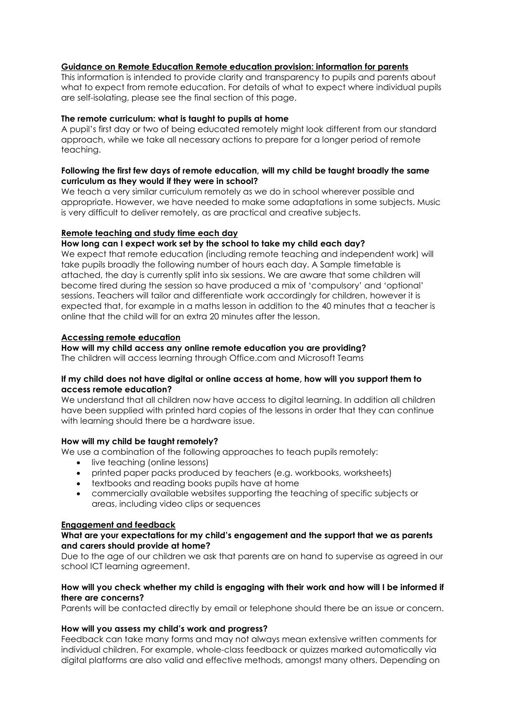# **Guidance on Remote Education Remote education provision: information for parents**

This information is intended to provide clarity and transparency to pupils and parents about what to expect from remote education. For details of what to expect where individual pupils are self-isolating, please see the final section of this page.

## **The remote curriculum: what is taught to pupils at home**

A pupil's first day or two of being educated remotely might look different from our standard approach, while we take all necessary actions to prepare for a longer period of remote teaching.

# **Following the first few days of remote education, will my child be taught broadly the same curriculum as they would if they were in school?**

We teach a very similar curriculum remotely as we do in school wherever possible and appropriate. However, we have needed to make some adaptations in some subjects. Music is very difficult to deliver remotely, as are practical and creative subjects.

## **Remote teaching and study time each day**

## **How long can I expect work set by the school to take my child each day?**

We expect that remote education (including remote teaching and independent work) will take pupils broadly the following number of hours each day. A Sample timetable is attached, the day is currently split into six sessions. We are aware that some children will become tired during the session so have produced a mix of 'compulsory' and 'optional' sessions. Teachers will tailor and differentiate work accordingly for children, however it is expected that, for example in a maths lesson in addition to the 40 minutes that a teacher is online that the child will for an extra 20 minutes after the lesson.

## **Accessing remote education**

# **How will my child access any online remote education you are providing?**

The children will access learning through Office.com and Microsoft Teams

## **If my child does not have digital or online access at home, how will you support them to access remote education?**

We understand that all children now have access to digital learning. In addition all children have been supplied with printed hard copies of the lessons in order that they can continue with learning should there be a hardware issue.

# **How will my child be taught remotely?**

We use a combination of the following approaches to teach pupils remotely:

- live teaching (online lessons)
- printed paper packs produced by teachers (e.g. workbooks, worksheets)
- textbooks and reading books pupils have at home
- commercially available websites supporting the teaching of specific subjects or areas, including video clips or sequences

# **Engagement and feedback**

# **What are your expectations for my child's engagement and the support that we as parents and carers should provide at home?**

Due to the age of our children we ask that parents are on hand to supervise as agreed in our school ICT learning agreement.

# **How will you check whether my child is engaging with their work and how will I be informed if there are concerns?**

Parents will be contacted directly by email or telephone should there be an issue or concern.

# **How will you assess my child's work and progress?**

Feedback can take many forms and may not always mean extensive written comments for individual children. For example, whole-class feedback or quizzes marked automatically via digital platforms are also valid and effective methods, amongst many others. Depending on